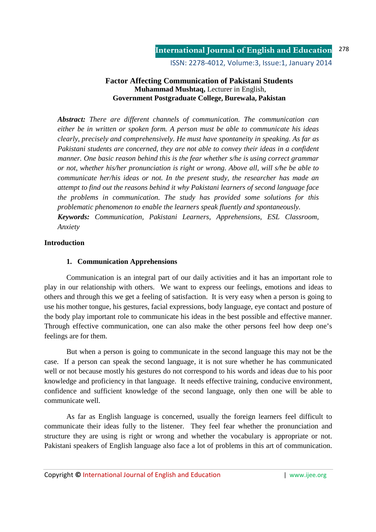ISSN: 2278-4012, Volume:3, Issue:1, January 2014

### **Factor Affecting Communication of Pakistani Students Muhammad Mushtaq,** Lecturer in English, **Government Postgraduate College, Burewala, Pakistan**

*Abstract: There are different channels of communication. The communication can either be in written or spoken form. A person must be able to communicate his ideas clearly, precisely and comprehensively. He must have spontaneity in speaking. As far as Pakistani students are concerned, they are not able to convey their ideas in a confident manner. One basic reason behind this is the fear whether s/he is using correct grammar or not, whether his/her pronunciation is right or wrong. Above all, will s/he be able to communicate her/his ideas or not. In the present study, the researcher has made an attempt to find out the reasons behind it why Pakistani learners of second language face the problems in communication. The study has provided some solutions for this problematic phenomenon to enable the learners speak fluently and spontaneously. Keywords: Communication, Pakistani Learners, Apprehensions, ESL Classroom, Anxiety* 

#### **Introduction**

#### **1. Communication Apprehensions**

Communication is an integral part of our daily activities and it has an important role to play in our relationship with others. We want to express our feelings, emotions and ideas to others and through this we get a feeling of satisfaction. It is very easy when a person is going to use his mother tongue, his gestures, facial expressions, body language, eye contact and posture of the body play important role to communicate his ideas in the best possible and effective manner. Through effective communication, one can also make the other persons feel how deep one's feelings are for them.

But when a person is going to communicate in the second language this may not be the case. If a person can speak the second language, it is not sure whether he has communicated well or not because mostly his gestures do not correspond to his words and ideas due to his poor knowledge and proficiency in that language. It needs effective training, conducive environment, confidence and sufficient knowledge of the second language, only then one will be able to communicate well.

As far as English language is concerned, usually the foreign learners feel difficult to communicate their ideas fully to the listener. They feel fear whether the pronunciation and structure they are using is right or wrong and whether the vocabulary is appropriate or not. Pakistani speakers of English language also face a lot of problems in this art of communication.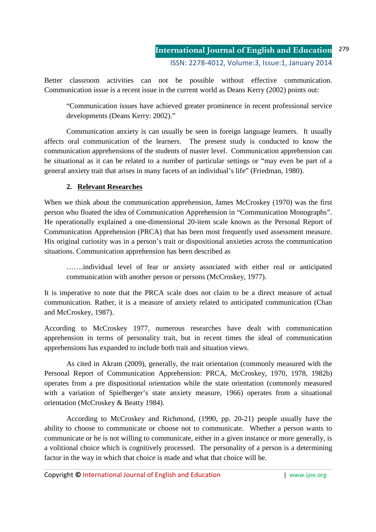Better classroom activities can not be possible without effective communication. Communication issue is a recent issue in the current world as Deans Kerry (2002) points out:

"Communication issues have achieved greater prominence in recent professional service developments (Deans Kerry: 2002)."

Communication anxiety is can usually be seen in foreign language learners. It usually affects oral communication of the learners. The present study is conducted to know the communication apprehensions of the students of master level. Communication apprehension can be situational as it can be related to a number of particular settings or "may even be part of a general anxiety trait that arises in many facets of an individual's life" (Friedman, 1980).

# **2. Relevant Researches**

When we think about the communication apprehension, James McCroskey (1970) was the first person who floated the idea of Communication Apprehension in "Communication Monographs". He operationally explained a one-dimensional 20-item scale known as the Personal Report of Communication Apprehension (PRCA) that has been most frequently used assessment measure. His original curiosity was in a person's trait or dispositional anxieties across the communication situations. Communication apprehension has been described as

…….individual level of fear or anxiety associated with either real or anticipated communication with another person or persons (McCroskey, 1977).

It is imperative to note that the PRCA scale does not claim to be a direct measure of actual communication. Rather, it is a measure of anxiety related to anticipated communication (Chan and McCroskey, 1987).

According to McCroskey 1977, numerous researches have dealt with communication apprehension in terms of personality trait, but in recent times the ideal of communication apprehensions has expanded to include both trait and situation views.

 As cited in Akram (2009), generally, the trait orientation (commonly measured with the Personal Report of Communication Apprehension: PRCA, McCroskey, 1970, 1978, 1982b) operates from a pre dispositional orientation while the state orientation (commonly measured with a variation of Spielberger's state anxiety measure, 1966) operates from a situational orientation (McCroskey & Beatty 1984).

According to McCroskey and Richmond, (1990, pp. 20-21) people usually have the ability to choose to communicate or choose not to communicate. Whether a person wants to communicate or he is not willing to communicate, either in a given instance or more generally, is a volitional choice which is cognitively processed. The personality of a person is a determining factor in the way in which that choice is made and what that choice will be.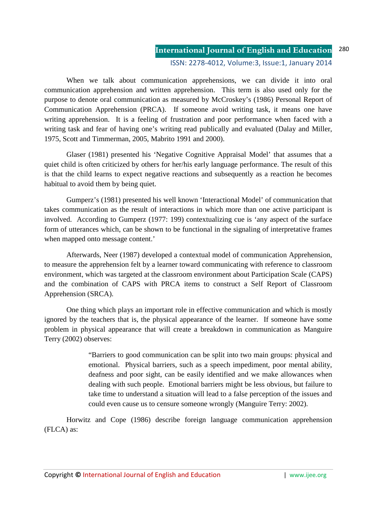#### **International Journal of English and Education** ISSN: 2278-4012, Volume:3, Issue:1, January 2014 280

 When we talk about communication apprehensions, we can divide it into oral communication apprehension and written apprehension. This term is also used only for the purpose to denote oral communication as measured by McCroskey's (1986) Personal Report of Communication Apprehension (PRCA). If someone avoid writing task, it means one have writing apprehension. It is a feeling of frustration and poor performance when faced with a writing task and fear of having one's writing read publically and evaluated (Dalay and Miller, 1975, Scott and Timmerman, 2005, Mabrito 1991 and 2000).

 Glaser (1981) presented his 'Negative Cognitive Appraisal Model' that assumes that a quiet child is often criticized by others for her/his early language performance. The result of this is that the child learns to expect negative reactions and subsequently as a reaction he becomes habitual to avoid them by being quiet.

 Gumperz's (1981) presented his well known 'Interactional Model' of communication that takes communication as the result of interactions in which more than one active participant is involved. According to Gumperz (1977: 199) contextualizing cue is 'any aspect of the surface form of utterances which, can be shown to be functional in the signaling of interpretative frames when mapped onto message content.'

 Afterwards, Neer (1987) developed a contextual model of communication Apprehension, to measure the apprehension felt by a learner toward communicating with reference to classroom environment, which was targeted at the classroom environment about Participation Scale (CAPS) and the combination of CAPS with PRCA items to construct a Self Report of Classroom Apprehension (SRCA).

 One thing which plays an important role in effective communication and which is mostly ignored by the teachers that is, the physical appearance of the learner. If someone have some problem in physical appearance that will create a breakdown in communication as Manguire Terry (2002) observes:

> "Barriers to good communication can be split into two main groups: physical and emotional. Physical barriers, such as a speech impediment, poor mental ability, deafness and poor sight, can be easily identified and we make allowances when dealing with such people. Emotional barriers might be less obvious, but failure to take time to understand a situation will lead to a false perception of the issues and could even cause us to censure someone wrongly (Manguire Terry: 2002).

Horwitz and Cope (1986) describe foreign language communication apprehension (FLCA) as: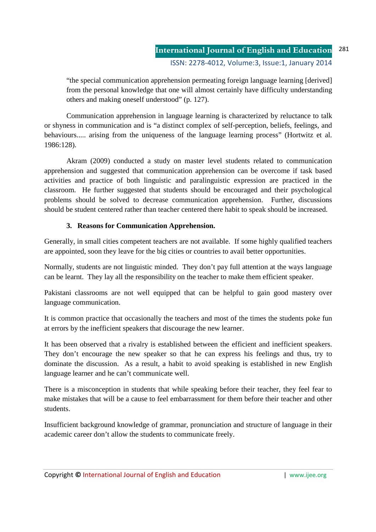"the special communication apprehension permeating foreign language learning [derived] from the personal knowledge that one will almost certainly have difficulty understanding others and making oneself understood" (p. 127).

 Communication apprehension in language learning is characterized by reluctance to talk or shyness in communication and is "a distinct complex of self-perception, beliefs, feelings, and behaviours..... arising from the uniqueness of the language learning process" (Hortwitz et al. 1986:128).

 Akram (2009) conducted a study on master level students related to communication apprehension and suggested that communication apprehension can be overcome if task based activities and practice of both linguistic and paralinguistic expression are practiced in the classroom. He further suggested that students should be encouraged and their psychological problems should be solved to decrease communication apprehension. Further, discussions should be student centered rather than teacher centered there habit to speak should be increased.

# **3. Reasons for Communication Apprehension.**

Generally, in small cities competent teachers are not available. If some highly qualified teachers are appointed, soon they leave for the big cities or countries to avail better opportunities.

Normally, students are not linguistic minded. They don't pay full attention at the ways language can be learnt. They lay all the responsibility on the teacher to make them efficient speaker.

Pakistani classrooms are not well equipped that can be helpful to gain good mastery over language communication.

It is common practice that occasionally the teachers and most of the times the students poke fun at errors by the inefficient speakers that discourage the new learner.

It has been observed that a rivalry is established between the efficient and inefficient speakers. They don't encourage the new speaker so that he can express his feelings and thus, try to dominate the discussion. As a result, a habit to avoid speaking is established in new English language learner and he can't communicate well.

There is a misconception in students that while speaking before their teacher, they feel fear to make mistakes that will be a cause to feel embarrassment for them before their teacher and other students.

Insufficient background knowledge of grammar, pronunciation and structure of language in their academic career don't allow the students to communicate freely.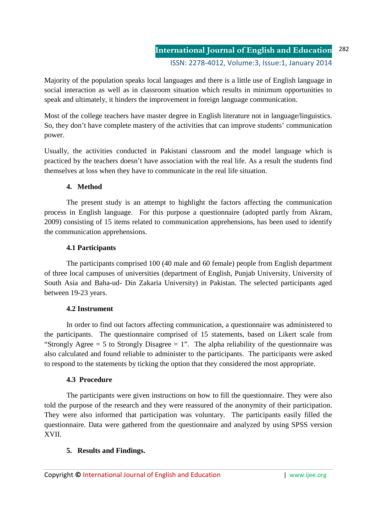Majority of the population speaks local languages and there is a little use of English language in social interaction as well as in classroom situation which results in minimum opportunities to speak and ultimately, it hinders the improvement in foreign language communication.

Most of the college teachers have master degree in English literature not in language/linguistics. So, they don't have complete mastery of the activities that can improve students' communication power.

Usually, the activities conducted in Pakistani classroom and the model language which is practiced by the teachers doesn't have association with the real life. As a result the students find themselves at loss when they have to communicate in the real life situation.

# **4. Method**

The present study is an attempt to highlight the factors affecting the communication process in English language. For this purpose a questionnaire (adopted partly from Akram, 2009) consisting of 15 items related to communication apprehensions, has been used to identify the communication apprehensions.

# **4.1 Participants**

The participants comprised 100 (40 male and 60 female) people from English department of three local campuses of universities (department of English, Punjab University, University of South Asia and Baha-ud- Din Zakaria University) in Pakistan. The selected participants aged between 19-23 years.

# **4.2 Instrument**

In order to find out factors affecting communication, a questionnaire was administered to the participants. The questionnaire comprised of 15 statements, based on Likert scale from "Strongly Agree  $= 5$  to Strongly Disagree  $= 1$ ". The alpha reliability of the questionnaire was also calculated and found reliable to administer to the participants. The participants were asked to respond to the statements by ticking the option that they considered the most appropriate.

# **4.3 Procedure**

The participants were given instructions on how to fill the questionnaire. They were also told the purpose of the research and they were reassured of the anonymity of their participation. They were also informed that participation was voluntary. The participants easily filled the questionnaire. Data were gathered from the questionnaire and analyzed by using SPSS version XVII.

# **5. Results and Findings.**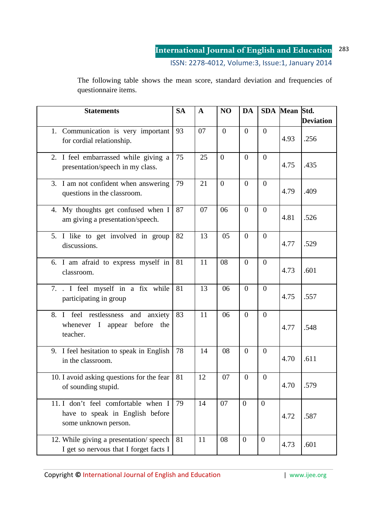#### **International Journal of English and Education** 283

ISSN: 2278-4012, Volume:3, Issue:1, January 2014

The following table shows the mean score, standard deviation and frequencies of questionnaire items.

| <b>Statements</b>                                                                              | <b>SA</b> | $\mathbf{A}$ | NO               | <b>DA</b>        |                  | SDA Mean Std. |                  |
|------------------------------------------------------------------------------------------------|-----------|--------------|------------------|------------------|------------------|---------------|------------------|
|                                                                                                |           |              |                  |                  |                  |               | <b>Deviation</b> |
| 1. Communication is very important<br>for cordial relationship.                                | 93        | 07           | $\overline{0}$   | $\overline{0}$   | $\overline{0}$   | 4.93          | .256             |
| 2. I feel embarrassed while giving a<br>presentation/speech in my class.                       | 75        | 25           | $\boldsymbol{0}$ | $\boldsymbol{0}$ | $\boldsymbol{0}$ | 4.75          | .435             |
| 3. I am not confident when answering<br>questions in the classroom.                            | 79        | 21           | $\mathbf{0}$     | $\boldsymbol{0}$ | $\overline{0}$   | 4.79          | .409             |
| My thoughts get confused when I<br>4.<br>am giving a presentation/speech.                      | 87        | 07           | 06               | $\boldsymbol{0}$ | $\overline{0}$   | 4.81          | .526             |
| 5. I like to get involved in group<br>discussions.                                             | 82        | 13           | 05               | $\boldsymbol{0}$ | $\overline{0}$   | 4.77          | .529             |
| 6. I am afraid to express myself in<br>classroom.                                              | 81        | 11           | 08               | $\boldsymbol{0}$ | $\boldsymbol{0}$ | 4.73          | .601             |
| 7. . I feel myself in a fix while<br>participating in group                                    | 81        | 13           | 06               | $\boldsymbol{0}$ | $\overline{0}$   | 4.75          | .557             |
| I feel restlessness and<br>8.<br>anxiety<br>whenever I appear before<br>the<br>teacher.        | 83        | 11           | 06               | $\boldsymbol{0}$ | $\overline{0}$   | 4.77          | .548             |
| 9. I feel hesitation to speak in English<br>in the classroom.                                  | 78        | 14           | 08               | $\boldsymbol{0}$ | $\overline{0}$   | 4.70          | .611             |
| 10. I avoid asking questions for the fear<br>of sounding stupid.                               | 81        | 12           | 07               | $\boldsymbol{0}$ | $\overline{0}$   | 4.70          | .579             |
| 11. I don't feel comfortable when I<br>have to speak in English before<br>some unknown person. | 79        | 14           | 07               | $\overline{0}$   | $\mathbf{0}$     | 4.72          | .587             |
| 12. While giving a presentation/speech<br>I get so nervous that I forget facts I               | 81        | 11           | 08               | $\mathbf{0}$     | $\mathbf{0}$     | 4.73          | .601             |

Copyright © International Journal of English and Education **Fig. 1** www.ijee.org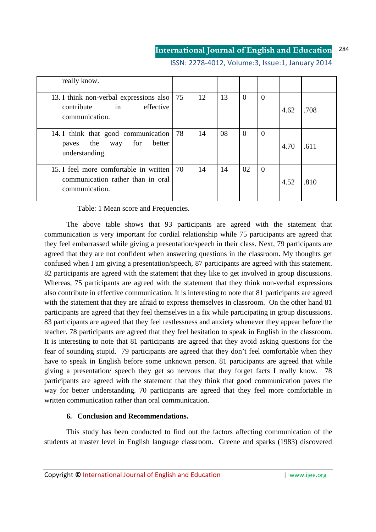#### **International Journal of English and Education** 284

| really know.                                                                                   |    |    |    |          |                |      |      |
|------------------------------------------------------------------------------------------------|----|----|----|----------|----------------|------|------|
| 13. I think non-verbal expressions also<br>$\sin$<br>effective<br>contribute<br>communication. | 75 | 12 | 13 | $\theta$ | $\overline{0}$ | 4.62 | .708 |
| 14. I think that good communication<br>better<br>for<br>paves the way<br>understanding.        | 78 | 14 | 08 | 0        | $\overline{0}$ | 4.70 | .611 |
| 15. I feel more comfortable in written<br>communication rather than in oral<br>communication.  | 70 | 14 | 14 | 02       | $\overline{0}$ | 4.52 | .810 |

ISSN: 2278-4012, Volume:3, Issue:1, January 2014

Table: 1 Mean score and Frequencies.

The above table shows that 93 participants are agreed with the statement that communication is very important for cordial relationship while 75 participants are agreed that they feel embarrassed while giving a presentation/speech in their class. Next, 79 participants are agreed that they are not confident when answering questions in the classroom. My thoughts get confused when I am giving a presentation/speech, 87 participants are agreed with this statement. 82 participants are agreed with the statement that they like to get involved in group discussions. Whereas, 75 participants are agreed with the statement that they think non-verbal expressions also contribute in effective communication. It is interesting to note that 81 participants are agreed with the statement that they are afraid to express themselves in classroom. On the other hand 81 participants are agreed that they feel themselves in a fix while participating in group discussions. 83 participants are agreed that they feel restlessness and anxiety whenever they appear before the teacher. 78 participants are agreed that they feel hesitation to speak in English in the classroom. It is interesting to note that 81 participants are agreed that they avoid asking questions for the fear of sounding stupid. 79 participants are agreed that they don't feel comfortable when they have to speak in English before some unknown person. 81 participants are agreed that while giving a presentation/ speech they get so nervous that they forget facts I really know. 78 participants are agreed with the statement that they think that good communication paves the way for better understanding. 70 participants are agreed that they feel more comfortable in written communication rather than oral communication.

#### **6. Conclusion and Recommendations.**

This study has been conducted to find out the factors affecting communication of the students at master level in English language classroom. Greene and sparks (1983) discovered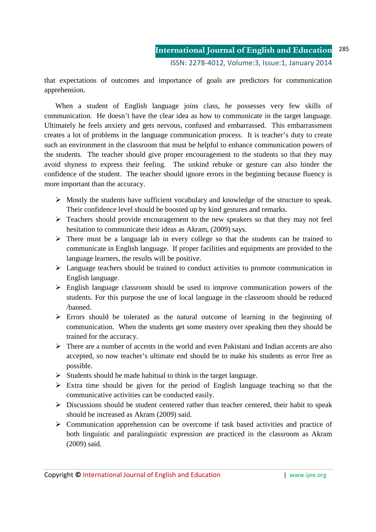that expectations of outcomes and importance of goals are predictors for communication apprehension.

When a student of English language joins class, he possesses very few skills of communication. He doesn't have the clear idea as how to communicate in the target language. Ultimately he feels anxiety and gets nervous, confused and embarrassed. This embarrassment creates a lot of problems in the language communication process. It is teacher's duty to create such an environment in the classroom that must be helpful to enhance communication powers of the students. The teacher should give proper encouragement to the students so that they may avoid shyness to express their feeling. The unkind rebuke or gesture can also hinder the confidence of the student. The teacher should ignore errors in the beginning because fluency is more important than the accuracy.

- $\triangleright$  Mostly the students have sufficient vocabulary and knowledge of the structure to speak. Their confidence level should be boosted up by kind gestures and remarks.
- $\triangleright$  Teachers should provide encouragement to the new speakers so that they may not feel hesitation to communicate their ideas as Akram, (2009) says.
- $\triangleright$  There must be a language lab in every college so that the students can be trained to communicate in English language. If proper facilities and equipments are provided to the language learners, the results will be positive.
- $\triangleright$  Language teachers should be trained to conduct activities to promote communication in English language.
- $\triangleright$  English language classroom should be used to improve communication powers of the students. For this purpose the use of local language in the classroom should be reduced /banned.
- $\triangleright$  Errors should be tolerated as the natural outcome of learning in the beginning of communication. When the students get some mastery over speaking then they should be trained for the accuracy.
- $\triangleright$  There are a number of accents in the world and even Pakistani and Indian accents are also accepted, so now teacher's ultimate end should be to make his students as error free as possible.
- $\triangleright$  Students should be made habitual to think in the target language.
- $\triangleright$  Extra time should be given for the period of English language teaching so that the communicative activities can be conducted easily.
- $\triangleright$  Discussions should be student centered rather than teacher centered, their habit to speak should be increased as Akram (2009) said.
- $\triangleright$  Communication apprehension can be overcome if task based activities and practice of both linguistic and paralinguistic expression are practiced in the classroom as Akram (2009) said.